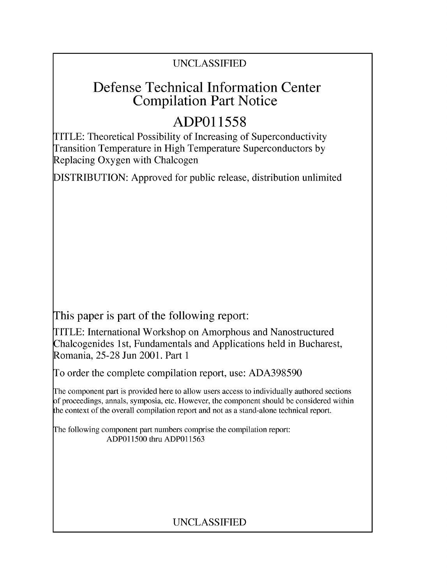## UNCLASSIFIED

## Defense Technical Information Center Compilation Part Notice

# **ADPO1 1558**

TITLE: Theoretical Possibility of Increasing of Superconductivity Transition Temperature in High Temperature Superconductors by Replacing Oxygen with Chalcogen

DISTRIBUTION: Approved for public release, distribution unlimited

This paper is part of the following report:

TITLE: International Workshop on Amorphous and Nanostructured Chalcogenides 1 st, Fundamentals and Applications held in Bucharest, Romania, 25-28 Jun 2001. Part 1

To order the complete compilation report, use: ADA398590

The component part is provided here to allow users access to individually authored sections f proceedings, annals, symposia, etc. However, the component should be considered within [he context of the overall compilation report and not as a stand-alone technical report.

The following component part numbers comprise the compilation report: ADPO11500 thru ADP011563

## UNCLASSIFIED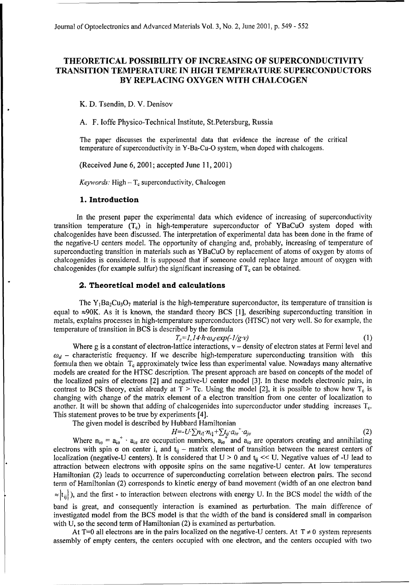#### THEORETICAL POSSIBILITY OF **INCREASING** OF **SUPERCONDUCTIVITY TRANSITION** TEMPERATURE **IN HIGH** TEMPERATURE **SUPERCONDUCTORS** BY **REPLACING OXYGEN** WITH **CHALCOGEN**

K. **D.** Tsendin, **D.** V. Denisov

A. F. loffe Physico-Technical Institute, St.Petersburg, Russia

The paper discusses the experimental data that evidence the increase of the critical temperature of superconductivity in Y-Ba-Cu-O system, when doped with chalcogens.

(Received June 6, 2001; accepted June 11, 2001)

*Keywords:* High  $-T_c$  superconductivity, Chalcogen

#### **1.** Introduction

In the present paper the experimental data which evidence of increasing of superconductivity transition temperature  $(T_c)$  in high-temperature superconductor of YBaCuO system doped with chalcogenides have been discussed. The interpretation of experimental data has been done in the frame of the negative-U centers model. The opportunity of changing and, probably, increasing of temperature of superconducting transition in materials such as YBaCuO by replacement of atoms of oxygen by atoms of chalcogenides is considered. It is supposed that if someone could replace large amount of oxygen with chalcogenides (for example sulfur) the significant increasing of  $T_c$  can be obtained.

#### 2. Theoretical model and calculations

The  $Y_1Ba_2Cu_3O_7$  material is the high-temperature superconductor, its temperature of transition is equal to  $\approx 90$ K. As it is known, the standard theory BCS [1], describing superconducting transition in metals, explains processes in high-temperature superconductors (HTSC) not very well. So for example, the temperature of transition in BCS is described by the formula<br> $T = I_1 I_2 h_1 g_2 \exp(-1/\sigma y)$ 

$$
T_c = I, I4 \cdot \hbar \omega_d \exp(-1/g \cdot v) \tag{1}
$$

Where g is a constant of electron-lattice interactions,  $v -$  density of electron states at Fermi level and  $\omega_d$  – characteristic frequency. If we describe high-temperature superconducting transition with this formula then we obtain  $T_c$  approximately twice less than experimental value. Nowadays many alternative models are created for the HTSC description. The present approach are based on concepts of the model of the localized pairs of electrons [2] and negative-U center model [3]. In these models electronic pairs, in contrast to BCS theory, exist already at  $T > Tc$ . Using the model [2], it is possible to show how  $T_c$  is changing with change of the matrix element of a electron transition from one center of localization to another. It will be shown that adding of chalcogenides into superconductor under studding increases  $T_c$ . This statement proves to be true by experiments [4].

The given model is described by Hubbard Hamiltonian

$$
H = -U \sum n_{i\uparrow} n_{i\downarrow} + \sum t_{ij} a_{i\sigma}^+ a_{j\sigma} \tag{2}
$$

Where  $n_{i\sigma} = a_{i\sigma}^+ \cdot a_{i\sigma}$  are occupation numbers,  $a_{i\sigma}^+$  and  $a_{i\sigma}$  are operators creating and annihilating electrons with spin  $\sigma$  on center i, and  $t_{ij}$  – matrix element of transition between the nearest centers of localization (negative-U centers). It is considered that  $U > 0$  and  $t_{ii} \ll U$ . Negative values of -U lead to attraction between electrons with opposite spins on the same negative-U center. At low temperatures Hamiltonian (2) leads to occurrence of superconducting correlation between electron pairs. The second term of Hamiltonian (2) corresponds to kinetic energy of band movement (width of an one electron band  $\le$   $|t_{ii}|$ ), and the first - to interaction between electrons with energy U. In the BCS model the width of the band is great, and consequently interaction is examined as perturbation. The main difference of

investigated model from the BCS model is that the width of the band is considered small in comparison with U, so the second term of Hamiltonian (2) is examined as perturbation.

At T=0 all electrons are in the pairs localized on the negative-U centers. At  $T \neq 0$  system represents assembly of empty centers, the centers occupied with one electron, and the centers occupied with two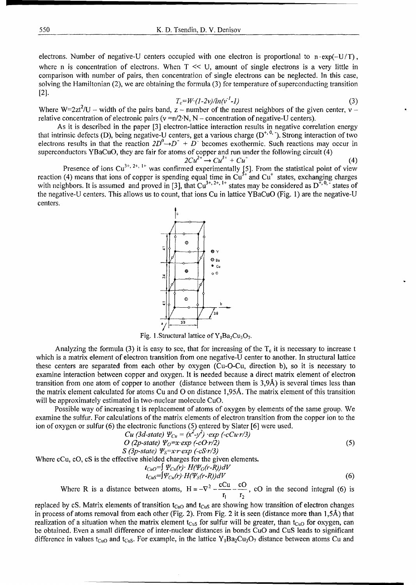electrons. Number of negative-U centers occupied with one electron is proportional to  $n \cdot \exp(-U/T)$ , where n is concentration of electrons. When  $T \ll U$ , amount of single electrons is a very little in comparison with number of pairs, then concentration of single electrons can be neglected. In this case, solving the Hamiltonian (2), we are obtaining the formula (3) for temperature of superconducting transition  $[2]$ .

$$
T_c = W \cdot (1-2\nu)/ln(v^2-1) \tag{3}
$$

Where W=2zt<sup>2</sup>/U – width of the pairs band, z – number of the nearest neighbors of the given center, v – relative concentration of electronic pairs ( $v = n/2$ . N, N – concentration of negative-U centers).

As it is described in the paper **[3]** electron-lattice interaction results in negative correlation energy that intrinsic defects (D), being negative-U centers, get a various charge  $(D^{+, 0, \cdot})$ . Strong interaction of two electrons results in that the reaction  $2D^0 \rightarrow D^+ + \overline{D}^-$  becomes exothermic. Such reactions may occur in superconductors YBaCuO, they are fair for atoms of copper and run under the following circuit (4)

$$
2Cu^{2+} \rightarrow Cu^{3+} + Cu^{+} \tag{4}
$$

Presence of ions Cu<sup>3+, 2+, 1+</sup> was confirmed experimentally [5]. From the statistical point of view reaction (4) means that ions of copper is spending equal time in Cu<sup>3+</sup> and Cu<sup>+</sup> states, exchanging charges with neighbors. It is assumed and proved in [3], that  $Cu^{3+}$ ,  $2+$ ,  $1+$  states may be considered as  $D^{+,0,-}$  states of the negative-U centers. This allows us to count, that ions Cu in lattice YBaCuO (Fig. 1) are the negative-U centers.

Fig. 1. Structural lattice of  $Y_1Ba_2Cu_3O_7$ .

Analyzing the formula (3) it is easy to see, that for increasing of the  $T_c$  it is necessary to increase t which is a matrix element of electron transition from one negative-U center to another. In structural lattice these centers are separated from each other by oxygen (Cu-O-Cu, direction b), so it is necessary to examine interaction between copper and oxygen. It is needed because a direct matrix element of electron transition from one atom of copper to another (distance between them is **3,9A)** is several times less than the matrix element calculated for atoms Cu and **0** on distance 1,95A. The matrix element of this transition will be approximately estimated in two-nuclear molecule CuO.

Possible way of increasing t is replacement of atoms of oxygen by elements of the same group. We examine the sulfur. For calculations of the matrix elements of electron transition from the copper ion to the ion of oxygen or sulfur (6) the electronic functions (5) entered by Slater [6] were used.

$$
Cu (3d-state) \Psi_{Cu} = (x^2 - y^2) \exp(-cCur/3)
$$
  
\n
$$
O (2p-state) \Psi_0 = x \exp(-cCr/2)
$$
 (5)

$$
S
$$
 (3p-state)  $\Psi_S = x \cdot r \cdot exp(-cS \cdot r/3)$ 

Where cCu, cO, cS is the effective shielded charges for the given elements.

$$
t_{CuO} = \int \Psi_{Cu}(r) \cdot H(\Psi_O(r-R))dV
$$
  
\n
$$
t_{CuS} = \int \Psi_{Cu}(r) \cdot H(\Psi_S(r-R))dV
$$
 (6)

$$
S^{-1}T_{\text{Cu}}(r)T_{\text{H}}(r_{\text{S}}(r-k))\text{d}r\tag{0}
$$

Where R is a distance between atoms,  $H = -\nabla^2 - \frac{cCu}{r} - \frac{cO}{r}$ , cO in the second integral (6) is  $r_1$   $r_2$ 

replaced by cS. Matrix elements of transition  $t_{CuO}$  and  $t_{CuS}$  are showing how transition of electron changes in process of atoms removal from each other (Fig. 2). From Fig. 2 it is seen (distance more than **1,5A)** that realization of a situation when the matrix element  $t_{CUS}$  for sulfur will be greater, than  $t_{CuO}$  for oxygen, can be obtained. Even a small difference of inter-nuclear distances in bonds CuO and CuS leads to significant difference in values t<sub>CuO</sub> and t<sub>CuS</sub>. For example, in the lattice Y<sub>1</sub>Ba<sub>2</sub>Cu<sub>3</sub>O<sub>7</sub> distance between atoms Cu and

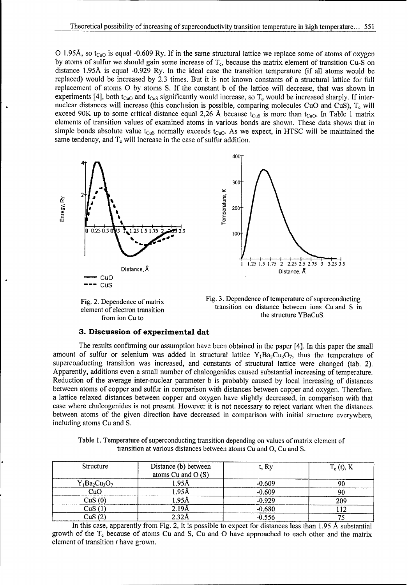O 1.95Å, so t<sub>CuO</sub> is equal -0.609 Ry. If in the same structural lattice we replace some of atoms of oxygen by atoms of sulfur we should gain some increase of  $T_c$ , because the matrix element of transition Cu-S on distance **1.95A** is equal -0.929 Ry. In the ideal case the transition temperature (if all atoms would be replaced) would be increased by 2.3 times. But it is not known constants of a structural lattice for full replacement of atoms **0** by atoms S. If the constant b of the lattice will decrease, that was shown in experiments [4], both t<sub>CuO</sub> and t<sub>CuS</sub> significantly would increase, so  $T_c$  would be increased sharply. If internuclear distances will increase (this conclusion is possible, comparing molecules CuO and CuS), T<sub>c</sub> will exceed 90K up to some critical distance equal 2,26 Å because  $t_{CUS}$  is more than  $t_{Cuo}$ . In Table 1 matrix elements of transition values of examined atoms in various bonds are shown. These data shows that in simple bonds absolute value  $t_{CuS}$  normally exceeds  $t_{CuO}$ . As we expect, in HTSC will be maintained the same tendency, and  $T_c$  will increase in the case of sulfur addition.





#### **3.** Discussion of experimenital dat

The results confirming our assumption have been obtained in the paper [4]. In this paper the small amount of sulfur or selenium was added in structural lattice  $Y_1Ba_2Cu_3O_7$ , thus the temperature of superconducting transition was increased, and constants of structural lattice were changed (tab. 2). Apparently, additions even a small number of chalcogenides caused substantial increasing of temperature. Reduction of the average inter-nuclear parameter **b** is probably caused **by** local increasing of distances between atoms of copper and sulfur in comparison with distances between copper and oxygen. Therefore, a lattice relaxed distances between copper and oxygen have slightly decreased, in comparison with that case where chalcogenides is not present. However it is not necessary to reject variant when the distances between atoms of the given direction have decreased in comparison with initial structure everywhere, including atoms Cu and **S.**

Table **1.** Temperature of superconducting transition depending on values of matrix element of transition at various distances between atoms Cu and **0,** Cu and **S.**

| Structure        | Distance (b) between<br>atoms $Cu$ and $O(S)$ | t, Ry    | $T_c(t)$ , K<br>90 |  |
|------------------|-----------------------------------------------|----------|--------------------|--|
| $Y_1Ba_2Cu_3O_7$ | 1.95Å                                         | $-0.609$ |                    |  |
| CuO              | 1.95Å                                         | $-0.609$ | 90                 |  |
| CuS(0)           | 1.95Å                                         | $-0.929$ | 209                |  |
| CuS(1)           | 2.19 <sub>A</sub>                             | $-0.680$ | 12                 |  |
| CuS(2)           | 2.32 <sub>A</sub>                             | $-0.556$ |                    |  |

In this case, apparently from Fig. 2, it is possible to expect for distances less than 1.95 Å substantial growth of the  $T_c$  because of atoms Cu and S, Cu and O have approached to each other and the matrix element of transition t have grown.